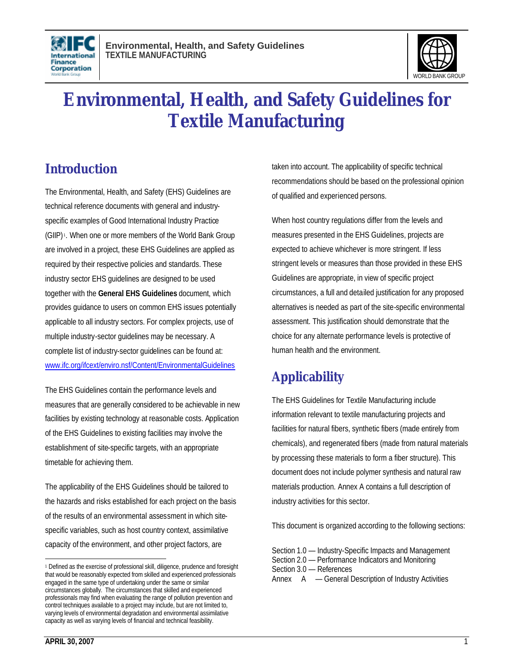



# **Environmental, Health, and Safety Guidelines for Textile Manufacturing**

## **Introduction**

The Environmental, Health, and Safety (EHS) Guidelines are technical reference documents with general and industryspecific examples of Good International Industry Practice (GIIP) <sup>1</sup> . When one or more members of the World Bank Group are involved in a project, these EHS Guidelines are applied as required by their respective policies and standards. These industry sector EHS guidelines are designed to be used together with the **General EHS Guidelines** document, which provides guidance to users on common EHS issues potentially applicable to all industry sectors. For complex projects, use of multiple industry-sector guidelines may be necessary. A complete list of industry-sector guidelines can be found at: www.ifc.org/ifcext/enviro.nsf/Content/EnvironmentalGuidelines

The EHS Guidelines contain the performance levels and measures that are generally considered to be achievable in new facilities by existing technology at reasonable costs. Application of the EHS Guidelines to existing facilities may involve the establishment of site-specific targets, with an appropriate timetable for achieving them.

The applicability of the EHS Guidelines should be tailored to the hazards and risks established for each project on the basis of the results of an environmental assessment in which sitespecific variables, such as host country context, assimilative capacity of the environment, and other project factors, are

taken into account. The applicability of specific technical recommendations should be based on the professional opinion of qualified and experienced persons.

When host country regulations differ from the levels and measures presented in the EHS Guidelines, projects are expected to achieve whichever is more stringent. If less stringent levels or measures than those provided in these EHS Guidelines are appropriate, in view of specific project circumstances, a full and detailed justification for any proposed alternatives is needed as part of the site-specific environmental assessment. This justification should demonstrate that the choice for any alternate performance levels is protective of human health and the environment.

## **Applicability**

The EHS Guidelines for Textile Manufacturing include information relevant to textile manufacturing projects and facilities for natural fibers, synthetic fibers (made entirely from chemicals), and regenerated fibers (made from natural materials by processing these materials to form a fiber structure). This document does not include polymer synthesis and natural raw materials production. Annex A contains a full description of industry activities for this sector.

This document is organized according to the following sections:

Section 1.0 — Industry-Specific Impacts and Management Section 2.0 — Performance Indicators and Monitoring Section 3.0 — References Annex A — General Description of Industry Activities

<sup>1</sup> Defined as the exercise of professional skill, diligence, prudence and foresight that would be reasonably expected from skilled and experienced professionals engaged in the same type of undertaking under the same or similar circumstances globally. The circumstances that skilled and experienced professionals may find when evaluating the range of pollution prevention and control techniques available to a project may include, but are not limited to, varying levels of environmental degradation and environmental assimilative capacity as well as varying levels of financial and technical feasibility.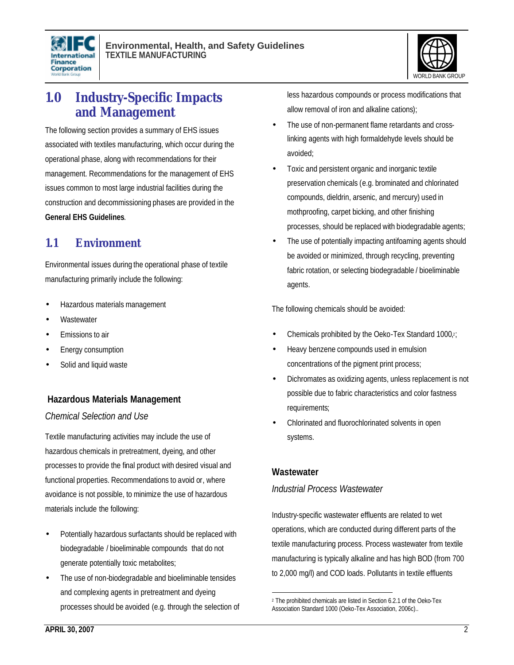



## **1.0 Industry-Specific Impacts and Management**

The following section provides a summary of EHS issues associated with textiles manufacturing, which occur during the operational phase, along with recommendations for their management. Recommendations for the management of EHS issues common to most large industrial facilities during the construction and decommissioning phases are provided in the **General EHS Guidelines**.

## **1.1 Environment**

Environmental issues during the operational phase of textile manufacturing primarily include the following:

- Hazardous materials management
- **Wastewater**
- Emissions to air
- Energy consumption
- Solid and liquid waste

## **Hazardous Materials Management**

### *Chemical Selection and Use*

Textile manufacturing activities may include the use of hazardous chemicals in pretreatment, dyeing, and other processes to provide the final product with desired visual and functional properties. Recommendations to avoid or, where avoidance is not possible, to minimize the use of hazardous materials include the following:

- Potentially hazardous surfactants should be replaced with biodegradable / bioeliminable compounds that do not generate potentially toxic metabolites;
- The use of non-biodegradable and bioeliminable tensides and complexing agents in pretreatment and dyeing processes should be avoided (e.g. through the selection of

less hazardous compounds or process modifications that allow removal of iron and alkaline cations);

- The use of non-permanent flame retardants and crosslinking agents with high formaldehyde levels should be avoided;
- Toxic and persistent organic and inorganic textile preservation chemicals (e.g. brominated and chlorinated compounds, dieldrin, arsenic, and mercury) used in mothproofing, carpet bicking, and other finishing processes, should be replaced with biodegradable agents;
- The use of potentially impacting antifoaming agents should be avoided or minimized, through recycling, preventing fabric rotation, or selecting biodegradable / bioeliminable agents.

The following chemicals should be avoided:

- Chemicals prohibited by the Oeko-Tex Standard 1000,2;
- Heavy benzene compounds used in emulsion concentrations of the pigment print process;
- Dichromates as oxidizing agents, unless replacement is not possible due to fabric characteristics and color fastness requirements;
- Chlorinated and fluorochlorinated solvents in open systems.

### **Wastewater**

### *Industrial Process Wastewater*

Industry-specific wastewater effluents are related to wet operations, which are conducted during different parts of the textile manufacturing process. Process wastewater from textile manufacturing is typically alkaline and has high BOD (from 700 to 2,000 mg/l) and COD loads. Pollutants in textile effluents

<sup>1</sup> 2 The prohibited chemicals are listed in Section 6.2.1 of the Oeko-Tex Association Standard 1000 (Oeko-Tex Association, 2006c)..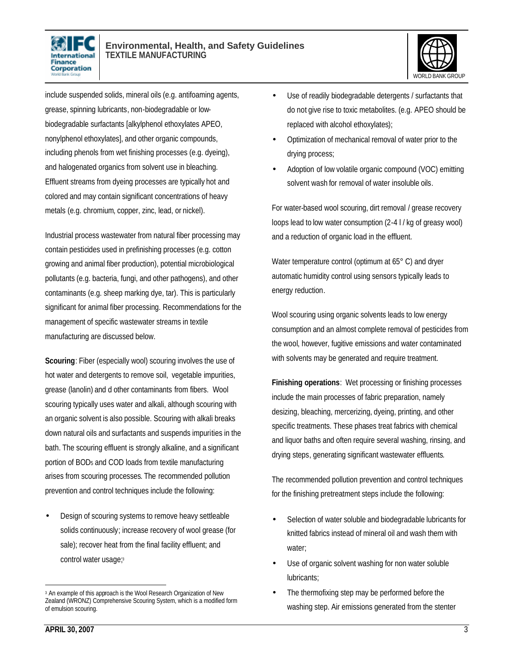



include suspended solids, mineral oils (e.g. antifoaming agents, grease, spinning lubricants, non-biodegradable or lowbiodegradable surfactants [alkylphenol ethoxylates APEO, nonylphenol ethoxylates], and other organic compounds, including phenols from wet finishing processes (e.g. dyeing), and halogenated organics from solvent use in bleaching. Effluent streams from dyeing processes are typically hot and colored and may contain significant concentrations of heavy metals (e.g. chromium, copper, zinc, lead, or nickel).

Industrial process wastewater from natural fiber processing may contain pesticides used in prefinishing processes (e.g. cotton growing and animal fiber production), potential microbiological pollutants (e.g. bacteria, fungi, and other pathogens), and other contaminants (e.g. sheep marking dye, tar). This is particularly significant for animal fiber processing. Recommendations for the management of specific wastewater streams in textile manufacturing are discussed below.

**Scouring**: Fiber (especially wool) scouring involves the use of hot water and detergents to remove soil, vegetable impurities, grease (lanolin) and d other contaminants from fibers. Wool scouring typically uses water and alkali, although scouring with an organic solvent is also possible. Scouring with alkali breaks down natural oils and surfactants and suspends impurities in the bath. The scouring effluent is strongly alkaline, and a significant portion of BOD5 and COD loads from textile manufacturing arises from scouring processes. The recommended pollution prevention and control techniques include the following:

• Design of scouring systems to remove heavy settleable solids continuously; increase recovery of wool grease (for sale); recover heat from the final facility effluent; and control water usage;<sup>3</sup>

- Use of readily biodegradable detergents / surfactants that do not give rise to toxic metabolites. (e.g. APEO should be replaced with alcohol ethoxylates);
- Optimization of mechanical removal of water prior to the drying process;
- Adoption of low volatile organic compound (VOC) emitting solvent wash for removal of water insoluble oils.

For water-based wool scouring, dirt removal / grease recovery loops lead to low water consumption (2-4 l / kg of greasy wool) and a reduction of organic load in the effluent.

Water temperature control (optimum at 65° C) and dryer automatic humidity control using sensors typically leads to energy reduction.

Wool scouring using organic solvents leads to low energy consumption and an almost complete removal of pesticides from the wool, however, fugitive emissions and water contaminated with solvents may be generated and require treatment.

**Finishing operations**: Wet processing or finishing processes include the main processes of fabric preparation, namely desizing, bleaching, mercerizing, dyeing, printing, and other specific treatments. These phases treat fabrics with chemical and liquor baths and often require several washing, rinsing, and drying steps, generating significant wastewater effluents.

The recommended pollution prevention and control techniques for the finishing pretreatment steps include the following:

- Selection of water soluble and biodegradable lubricants for knitted fabrics instead of mineral oil and wash them with water;
- Use of organic solvent washing for non water soluble lubricants;
- The thermofixing step may be performed before the washing step. Air emissions generated from the stenter

<sup>&</sup>lt;sup>3</sup> An example of this approach is the Wool Research Organization of New Zealand (WRONZ) Comprehensive Scouring System, which is a modified form of emulsion scouring.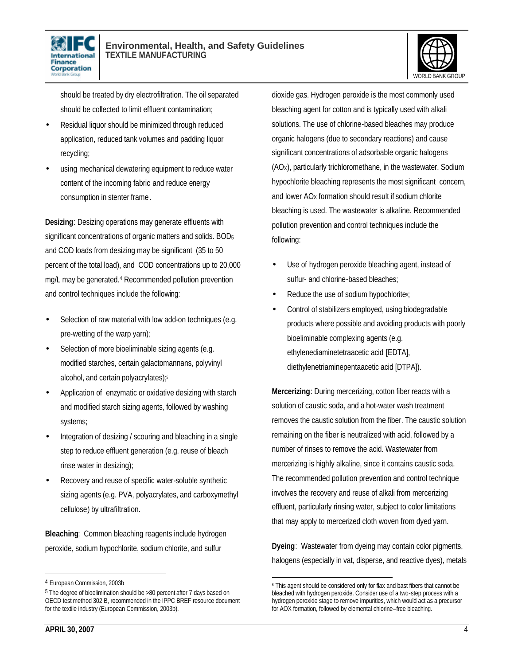

WORLD BANK GROUP

should be treated by dry electrofiltration. The oil separated should be collected to limit effluent contamination;

- Residual liquor should be minimized through reduced application, reduced tank volumes and padding liquor recycling;
- using mechanical dewatering equipment to reduce water content of the incoming fabric and reduce energy consumption in stenter frame.

**Desizing**: Desizing operations may generate effluents with significant concentrations of organic matters and solids. BOD<sub>5</sub> and COD loads from desizing may be significant (35 to 50 percent of the total load), and COD concentrations up to 20,000 mg/L may be generated.<sup>4</sup> Recommended pollution prevention and control techniques include the following:

- Selection of raw material with low add-on techniques (e.g. pre-wetting of the warp yarn);
- Selection of more bioeliminable sizing agents (e.g. modified starches, certain galactomannans, polyvinyl alcohol, and certain polyacrylates);<sup>5</sup>
- Application of enzymatic or oxidative desizing with starch and modified starch sizing agents, followed by washing systems;
- Integration of desizing / scouring and bleaching in a single step to reduce effluent generation (e.g. reuse of bleach rinse water in desizing);
- Recovery and reuse of specific water-soluble synthetic sizing agents (e.g. PVA, polyacrylates, and carboxymethyl cellulose) by ultrafiltration.

**Bleaching**: Common bleaching reagents include hydrogen peroxide, sodium hypochlorite, sodium chlorite, and sulfur

dioxide gas. Hydrogen peroxide is the most commonly used bleaching agent for cotton and is typically used with alkali solutions. The use of chlorine-based bleaches may produce organic halogens (due to secondary reactions) and cause significant concentrations of adsorbable organic halogens (AOX), particularly trichloromethane, in the wastewater. Sodium hypochlorite bleaching represents the most significant concern, and lower  $AO<sub>x</sub>$  formation should result if sodium chlorite bleaching is used. The wastewater is alkaline. Recommended pollution prevention and control techniques include the following:

- Use of hydrogen peroxide bleaching agent, instead of sulfur- and chlorine-based bleaches;
- Reduce the use of sodium hypochlorites;
- Control of stabilizers employed, using biodegradable products where possible and avoiding products with poorly bioeliminable complexing agents (e.g. ethylenediaminetetraacetic acid [EDTA], diethylenetriaminepentaacetic acid [DTPA]).

**Mercerizing**: During mercerizing, cotton fiber reacts with a solution of caustic soda, and a hot-water wash treatment removes the caustic solution from the fiber. The caustic solution remaining on the fiber is neutralized with acid, followed by a number of rinses to remove the acid. Wastewater from mercerizing is highly alkaline, since it contains caustic soda. The recommended pollution prevention and control technique involves the recovery and reuse of alkali from mercerizing effluent, particularly rinsing water, subject to color limitations that may apply to mercerized cloth woven from dyed yarn.

**Dyeing**: Wastewater from dyeing may contain color pigments, halogens (especially in vat, disperse, and reactive dyes), metals

<sup>4</sup> European Commission, 2003b

<sup>&</sup>lt;sup>5</sup> The degree of bioelimination should be >80 percent after 7 days based on OECD testmethod 302 B, recommended in the IPPC BREF resource document for the textile industry (European Commission, 2003b).

l 6 This agent should be considered only for flax and bast fibers that cannot be bleached with hydrogen peroxide. Consider use of a two-step process with a hydrogen peroxide stage to remove impurities, which would act as a precursor for AOX formation, followed by elemental chlorine–free bleaching.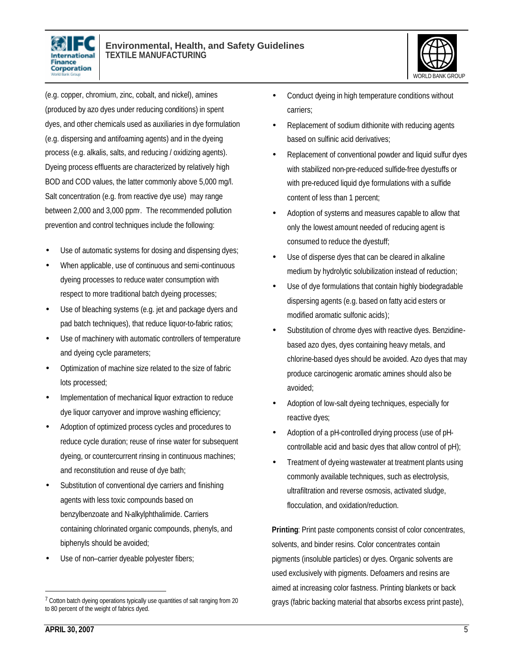



(e.g. copper, chromium, zinc, cobalt, and nickel), amines (produced by azo dyes under reducing conditions) in spent dyes, and other chemicals used as auxiliaries in dye formulation (e.g. dispersing and antifoaming agents) and in the dyeing process (e.g. alkalis, salts, and reducing / oxidizing agents). Dyeing process effluents are characterized by relatively high BOD and COD values, the latter commonly above 5,000 mg/l. Salt concentration (e.g. from reactive dye use) may range between 2,000 and 3,000 ppm. The recommended pollution prevention and control techniques include the following:

- Use of automatic systems for dosing and dispensing dyes;
- When applicable, use of continuous and semi-continuous dyeing processes to reduce water consumption with respect to more traditional batch dyeing processes;
- Use of bleaching systems (e.g. jet and package dyers and pad batch techniques), that reduce liquor-to-fabric ratios;
- Use of machinery with automatic controllers of temperature and dyeing cycle parameters;
- Optimization of machine size related to the size of fabric lots processed;
- Implementation of mechanical liquor extraction to reduce dye liquor carryover and improve washing efficiency;
- Adoption of optimized process cycles and procedures to reduce cycle duration; reuse of rinse water for subsequent dyeing, or countercurrent rinsing in continuous machines; and reconstitution and reuse of dye bath;
- Substitution of conventional dye carriers and finishing agents with less toxic compounds based on benzylbenzoate and N-alkylphthalimide. Carriers containing chlorinated organic compounds, phenyls, and biphenyls should be avoided;
- Use of non-carrier dyeable polyester fibers;
- Conduct dyeing in high temperature conditions without carriers;
- Replacement of sodium dithionite with reducing agents based on sulfinic acid derivatives;
- Replacement of conventional powder and liquid sulfur dyes with stabilized non-pre-reduced sulfide-free dyestuffs or with pre-reduced liquid dye formulations with a sulfide content of less than 1 percent;
- Adoption of systems and measures capable to allow that only the lowest amount needed of reducing agent is consumed to reduce the dyestuff;
- Use of disperse dyes that can be cleared in alkaline medium by hydrolytic solubilization instead of reduction;
- Use of dye formulations that contain highly biodegradable dispersing agents (e.g. based on fatty acid esters or modified aromatic sulfonic acids);
- Substitution of chrome dyes with reactive dyes. Benzidinebased azo dyes, dyes containing heavy metals, and chlorine-based dyes should be avoided. Azo dyes that may produce carcinogenic aromatic amines should also be avoided;
- Adoption of low-salt dyeing techniques, especially for reactive dyes;
- Adoption of a pH-controlled drying process (use of pHcontrollable acid and basic dyes that allow control of pH);
- Treatment of dyeing wastewater at treatment plants using commonly available techniques, such as electrolysis, ultrafiltration and reverse osmosis, activated sludge, flocculation, and oxidation/reduction.

**Printing**: Print paste components consist of color concentrates, solvents, and binder resins. Color concentrates contain pigments (insoluble particles) or dyes. Organic solvents are used exclusively with pigments. Defoamers and resins are aimed at increasing color fastness. Printing blankets or back grays (fabric backing material that absorbs excess print paste),

<sup>&</sup>lt;sup>7</sup> Cotton batch dyeing operations typically use quantities of salt ranging from 20 to 80 percent of the weight of fabrics dyed.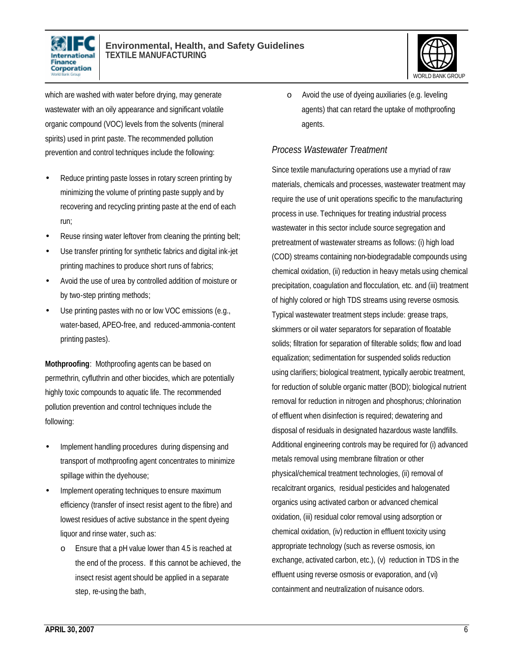



which are washed with water before drying, may generate wastewater with an oily appearance and significant volatile organic compound (VOC) levels from the solvents (mineral spirits) used in print paste. The recommended pollution prevention and control techniques include the following:

- Reduce printing paste losses in rotary screen printing by minimizing the volume of printing paste supply and by recovering and recycling printing paste at the end of each run;
- Reuse rinsing water leftover from cleaning the printing belt;
- Use transfer printing for synthetic fabrics and digital ink-jet printing machines to produce short runs of fabrics;
- Avoid the use of urea by controlled addition of moisture or by two-step printing methods;
- Use printing pastes with no or low VOC emissions (e.g., water-based, APEO-free, and reduced-ammonia-content printing pastes).

**Mothproofing**: Mothproofing agents can be based on permethrin, cyfluthrin and other biocides, which are potentially highly toxic compounds to aquatic life. The recommended pollution prevention and control techniques include the following:

- Implement handling procedures during dispensing and transport of mothproofing agent concentrates to minimize spillage within the dyehouse;
- Implement operating techniques to ensure maximum efficiency (transfer of insect resist agent to the fibre) and lowest residues of active substance in the spent dyeing liquor and rinse water, such as:
	- o Ensure that a pH value lower than 4.5 is reached at the end of the process. If this cannot be achieved, the insect resist agent should be applied in a separate step, re-using the bath,

o Avoid the use of dyeing auxiliaries (e.g. leveling agents) that can retard the uptake of mothproofing agents.

## *Process Wastewater Treatment*

Since textile manufacturing operations use a myriad of raw materials, chemicals and processes, wastewater treatment may require the use of unit operations specific to the manufacturing process in use. Techniques for treating industrial process wastewater in this sector include source segregation and pretreatment of wastewater streams as follows: (i) high load (COD) streams containing non-biodegradable compounds using chemical oxidation, (ii) reduction in heavy metals using chemical precipitation, coagulation and flocculation, etc. and (iii) treatment of highly colored or high TDS streams using reverse osmosis. Typical wastewater treatment steps include: grease traps, skimmers or oil water separators for separation of floatable solids; filtration for separation of filterable solids; flow and load equalization; sedimentation for suspended solids reduction using clarifiers; biological treatment, typically aerobic treatment, for reduction of soluble organic matter (BOD); biological nutrient removal for reduction in nitrogen and phosphorus; chlorination of effluent when disinfection is required; dewatering and disposal of residuals in designated hazardous waste landfills. Additional engineering controls may be required for (i) advanced metals removal using membrane filtration or other physical/chemical treatment technologies, (ii) removal of recalcitrant organics, residual pesticides and halogenated organics using activated carbon or advanced chemical oxidation, (iii) residual color removal using adsorption or chemical oxidation, (iv) reduction in effluent toxicity using appropriate technology (such as reverse osmosis, ion exchange, activated carbon, etc.), (v) reduction in TDS in the effluent using reverse osmosis or evaporation, and (vi) containment and neutralization of nuisance odors.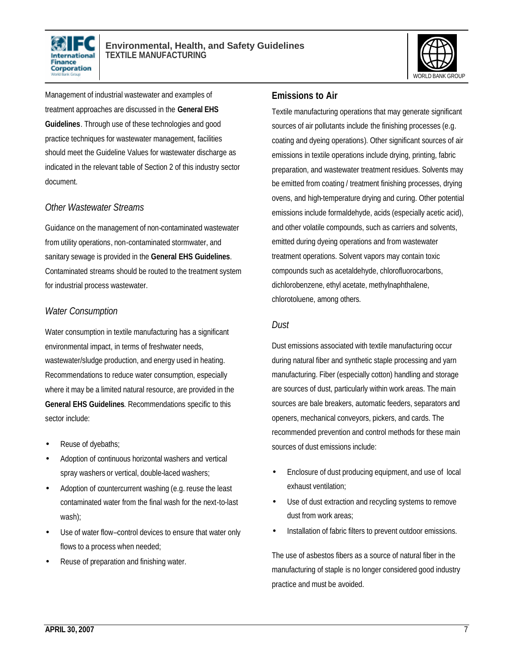



Management of industrial wastewater and examples of treatment approaches are discussed in the **General EHS Guidelines**. Through use of these technologies and good practice techniques for wastewater management, facilities should meet the Guideline Values for wastewater discharge as indicated in the relevant table of Section 2 of this industry sector document.

## *Other Wastewater Streams*

Guidance on the management of non-contaminated wastewater from utility operations, non-contaminated stormwater, and sanitary sewage is provided in the **General EHS Guidelines**. Contaminated streams should be routed to the treatment system for industrial process wastewater.

## *Water Consumption*

Water consumption in textile manufacturing has a significant environmental impact, in terms of freshwater needs, wastewater/sludge production, and energy used in heating. Recommendations to reduce water consumption, especially where it may be a limited natural resource, are provided in the **General EHS Guidelines**. Recommendations specific to this sector include:

- Reuse of dyebaths;
- Adoption of continuous horizontal washers and vertical spray washers or vertical, double-laced washers;
- Adoption of countercurrent washing (e.g. reuse the least contaminated water from the final wash for the next-to-last wash);
- Use of water flow-control devices to ensure that water only flows to a process when needed;
- Reuse of preparation and finishing water.

### **Emissions to Air**

Textile manufacturing operations that may generate significant sources of air pollutants include the finishing processes (e.g. coating and dyeing operations). Other significant sources of air emissions in textile operations include drying, printing, fabric preparation, and wastewater treatment residues. Solvents may be emitted from coating / treatment finishing processes, drying ovens, and high-temperature drying and curing. Other potential emissions include formaldehyde, acids (especially acetic acid), and other volatile compounds, such as carriers and solvents, emitted during dyeing operations and from wastewater treatment operations. Solvent vapors may contain toxic compounds such as acetaldehyde, chlorofluorocarbons, dichlorobenzene, ethyl acetate, methylnaphthalene, chlorotoluene, among others.

## *Dust*

Dust emissions associated with textile manufacturing occur during natural fiber and synthetic staple processing and yarn manufacturing. Fiber (especially cotton) handling and storage are sources of dust, particularly within work areas. The main sources are bale breakers, automatic feeders, separators and openers, mechanical conveyors, pickers, and cards. The recommended prevention and control methods for these main sources of dust emissions include:

- Enclosure of dust producing equipment, and use of local exhaust ventilation;
- Use of dust extraction and recycling systems to remove dust from work areas;
- Installation of fabric filters to prevent outdoor emissions.

The use of asbestos fibers as a source of natural fiber in the manufacturing of staple is no longer considered good industry practice and must be avoided.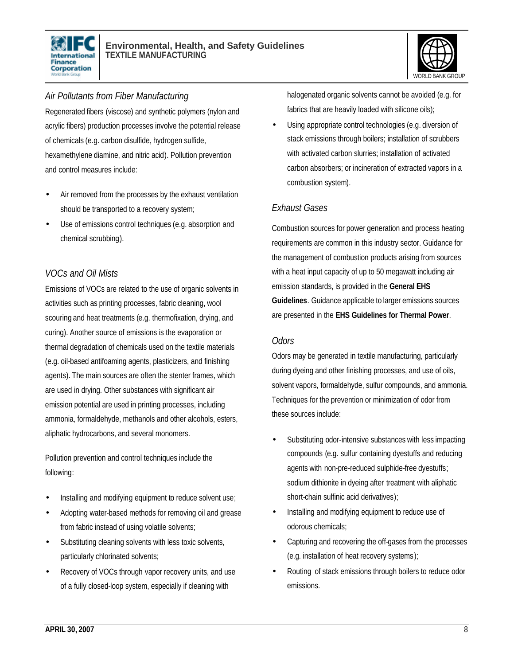



## *Air Pollutants from Fiber Manufacturing*

Regenerated fibers (viscose) and synthetic polymers (nylon and acrylic fibers) production processes involve the potential release of chemicals (e.g. carbon disulfide, hydrogen sulfide, hexamethylene diamine, and nitric acid). Pollution prevention and control measures include:

- Air removed from the processes by the exhaust ventilation should be transported to a recovery system;
- Use of emissions control techniques (e.g. absorption and chemical scrubbing).

## *VOCs and Oil Mists*

Emissions of VOCs are related to the use of organic solvents in activities such as printing processes, fabric cleaning, wool scouring and heat treatments (e.g. thermofixation, drying, and curing). Another source of emissions is the evaporation or thermal degradation of chemicals used on the textile materials (e.g. oil-based antifoaming agents, plasticizers, and finishing agents). The main sources are often the stenter frames, which are used in drying. Other substances with significant air emission potential are used in printing processes, including ammonia, formaldehyde, methanols and other alcohols, esters, aliphatic hydrocarbons, and several monomers.

Pollution prevention and control techniques include the following:

- Installing and modifying equipment to reduce solvent use;
- Adopting water-based methods for removing oil and grease from fabric instead of using volatile solvents;
- Substituting cleaning solvents with less toxic solvents, particularly chlorinated solvents;
- Recovery of VOCs through vapor recovery units, and use of a fully closed-loop system, especially if cleaning with

halogenated organic solvents cannot be avoided (e.g. for fabrics that are heavily loaded with silicone oils);

• Using appropriate control technologies (e.g. diversion of stack emissions through boilers; installation of scrubbers with activated carbon slurries; installation of activated carbon absorbers; or incineration of extracted vapors in a combustion system).

## *Exhaust Gases*

Combustion sources for power generation and process heating requirements are common in this industry sector. Guidance for the management of combustion products arising from sources with a heat input capacity of up to 50 megawatt including air emission standards, is provided in the **General EHS Guidelines**. Guidance applicable to larger emissions sources are presented in the **EHS Guidelines for Thermal Power**.

## *Odors*

Odors may be generated in textile manufacturing, particularly during dyeing and other finishing processes, and use of oils, solvent vapors, formaldehyde, sulfur compounds, and ammonia. Techniques for the prevention or minimization of odor from these sources include:

- Substituting odor-intensive substances with less impacting compounds (e.g. sulfur containing dyestuffs and reducing agents with non-pre-reduced sulphide-free dyestuffs; sodium dithionite in dyeing after treatment with aliphatic short-chain sulfinic acid derivatives);
- Installing and modifying equipment to reduce use of odorous chemicals;
- Capturing and recovering the off-gases from the processes (e.g. installation of heat recovery systems);
- Routing of stack emissions through boilers to reduce odor emissions.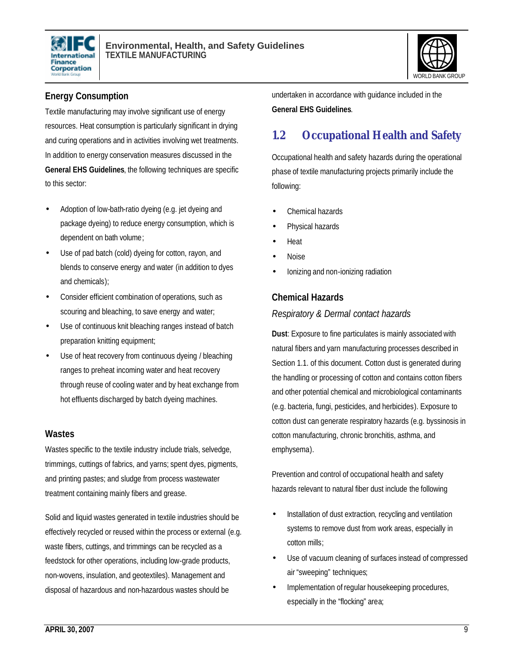



## **Energy Consumption**

Textile manufacturing may involve significant use of energy resources. Heat consumption is particularly significant in drying and curing operations and in activities involving wet treatments. In addition to energy conservation measures discussed in the **General EHS Guidelines**, the following techniques are specific to this sector:

- Adoption of low-bath-ratio dyeing (e.g. jet dyeing and package dyeing) to reduce energy consumption, which is dependent on bath volume;
- Use of pad batch (cold) dyeing for cotton, rayon, and blends to conserve energy and water (in addition to dyes and chemicals);
- Consider efficient combination of operations, such as scouring and bleaching, to save energy and water;
- Use of continuous knit bleaching ranges instead of batch preparation knitting equipment;
- Use of heat recovery from continuous dyeing / bleaching ranges to preheat incoming water and heat recovery through reuse of cooling water and by heat exchange from hot effluents discharged by batch dyeing machines.

## **Wastes**

Wastes specific to the textile industry include trials, selvedge, trimmings, cuttings of fabrics, and yarns; spent dyes, pigments, and printing pastes; and sludge from process wastewater treatment containing mainly fibers and grease.

Solid and liquid wastes generated in textile industries should be effectively recycled or reused within the process or external (e.g. waste fibers, cuttings, and trimmings can be recycled as a feedstock for other operations, including low-grade products, non-wovens, insulation, and geotextiles). Management and disposal of hazardous and non-hazardous wastes should be

undertaken in accordance with guidance included in the **General EHS Guidelines**.

## **1.2 Occupational Health and Safety**

Occupational health and safety hazards during the operational phase of textile manufacturing projects primarily include the following:

- Chemical hazards
- Physical hazards
- Heat
- Noise
- Ionizing and non-ionizing radiation

## **Chemical Hazards**

## *Respiratory & Dermal contact hazards*

**Dust**: Exposure to fine particulates is mainly associated with natural fibers and yarn manufacturing processes described in Section 1.1. of this document. Cotton dust is generated during the handling or processing of cotton and contains cotton fibers and other potential chemical and microbiological contaminants (e.g. bacteria, fungi, pesticides, and herbicides). Exposure to cotton dust can generate respiratory hazards (e.g. byssinosis in cotton manufacturing, chronic bronchitis, asthma, and emphysema).

Prevention and control of occupational health and safety hazards relevant to natural fiber dust include the following

- Installation of dust extraction, recycling and ventilation systems to remove dust from work areas, especially in cotton mills;
- Use of vacuum cleaning of surfaces instead of compressed air "sweeping" techniques;
- Implementation of regular housekeeping procedures, especially in the "flocking" area;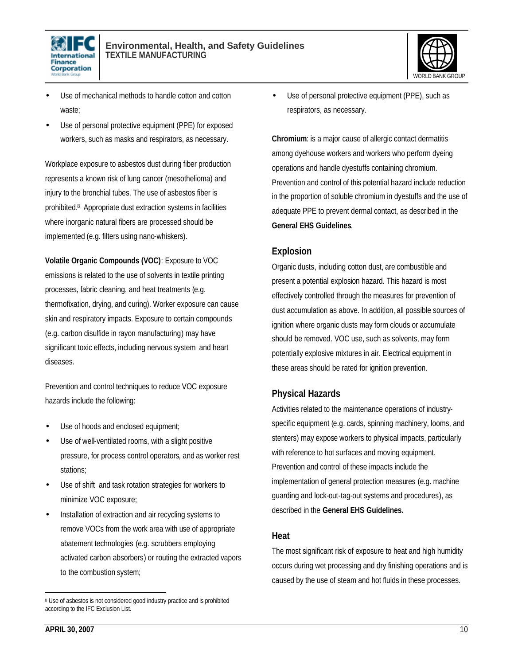



- Use of mechanical methods to handle cotton and cotton waste;
- Use of personal protective equipment (PPE) for exposed workers, such as masks and respirators, as necessary.

Workplace exposure to asbestos dust during fiber production represents a known risk of lung cancer (mesothelioma) and injury to the bronchial tubes. The use of asbestos fiber is prohibited.<sup>8</sup> Appropriate dust extraction systems in facilities where inorganic natural fibers are processed should be implemented (e.g. filters using nano-whiskers).

**Volatile Organic Compounds (VOC)**: Exposure to VOC emissions is related to the use of solvents in textile printing processes, fabric cleaning, and heat treatments (e.g. thermofixation, drying, and curing). Worker exposure can cause skin and respiratory impacts. Exposure to certain compounds (e.g. carbon disulfide in rayon manufacturing) may have significant toxic effects, including nervous system and heart diseases.

Prevention and control techniques to reduce VOC exposure hazards include the following:

- Use of hoods and enclosed equipment;
- Use of well-ventilated rooms, with a slight positive pressure, for process control operators, and as worker rest stations;
- Use of shift and task rotation strategies for workers to minimize VOC exposure;
- Installation of extraction and air recycling systems to remove VOCs from the work area with use of appropriate abatement technologies (e.g. scrubbers employing activated carbon absorbers) or routing the extracted vapors to the combustion system;

Use of personal protective equipment (PPE), such as respirators, as necessary.

**Chromium**: is a major cause of allergic contact dermatitis among dyehouse workers and workers who perform dyeing operations and handle dyestuffs containing chromium. Prevention and control of this potential hazard include reduction in the proportion of soluble chromium in dyestuffs and the use of adequate PPE to prevent dermal contact, as described in the **General EHS Guidelines**.

## **Explosion**

Organic dusts, including cotton dust, are combustible and present a potential explosion hazard. This hazard is most effectively controlled through the measures for prevention of dust accumulation as above. In addition, all possible sources of ignition where organic dusts may form clouds or accumulate should be removed. VOC use, such as solvents, may form potentially explosive mixtures in air. Electrical equipment in these areas should be rated for ignition prevention.

## **Physical Hazards**

Activities related to the maintenance operations of industryspecific equipment (e.g. cards, spinning machinery, looms, and stenters) may expose workers to physical impacts, particularly with reference to hot surfaces and moving equipment. Prevention and control of these impacts include the implementation of general protection measures (e.g. machine guarding and lock-out-tag-out systems and procedures), as described in the **General EHS Guidelines.**

## **Heat**

The most significant risk of exposure to heat and high humidity occurs during wet processing and dry finishing operations and is caused by the use of steam and hot fluids in these processes.

<sup>&</sup>lt;sup>8</sup> Use of asbestos is not considered good industry practice and is prohibited according to the IFC Exclusion List.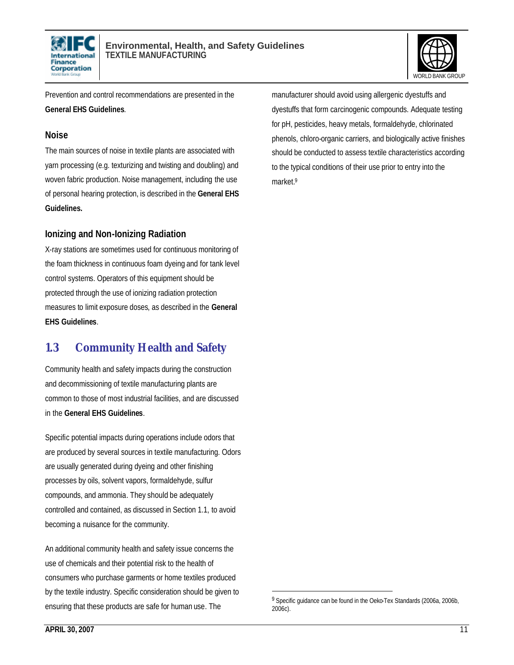



Prevention and control recommendations are presented in the **General EHS Guidelines**.

## **Noise**

The main sources of noise in textile plants are associated with yarn processing (e.g. texturizing and twisting and doubling) and woven fabric production. Noise management, including the use of personal hearing protection, is described in the **General EHS Guidelines.**

## **Ionizing and Non-Ionizing Radiation**

X-ray stations are sometimes used for continuous monitoring of the foam thickness in continuous foam dyeing and for tank level control systems. Operators of this equipment should be protected through the use of ionizing radiation protection measures to limit exposure doses, as described in the **General EHS Guidelines**.

## **1.3 Community Health and Safety**

Community health and safety impacts during the construction and decommissioning of textile manufacturing plants are common to those of most industrial facilities, and are discussed in the **General EHS Guidelines**.

Specific potential impacts during operations include odors that are produced by several sources in textile manufacturing. Odors are usually generated during dyeing and other finishing processes by oils, solvent vapors, formaldehyde, sulfur compounds, and ammonia. They should be adequately controlled and contained, as discussed in Section 1.1, to avoid becoming a nuisance for the community.

An additional community health and safety issue concerns the use of chemicals and their potential risk to the health of consumers who purchase garments or home textiles produced by the textile industry. Specific consideration should be given to ensuring that these products are safe for human use. The

manufacturer should avoid using allergenic dyestuffs and dyestuffs that form carcinogenic compounds. Adequate testing for pH, pesticides, heavy metals, formaldehyde, chlorinated phenols, chloro-organic carriers, and biologically active finishes should be conducted to assess textile characteristics according to the typical conditions of their use prior to entry into the market. 9

<sup>&</sup>lt;sup>9</sup> Specific guidance can be found in the Oeko-Tex Standards (2006a, 2006b, 2006c).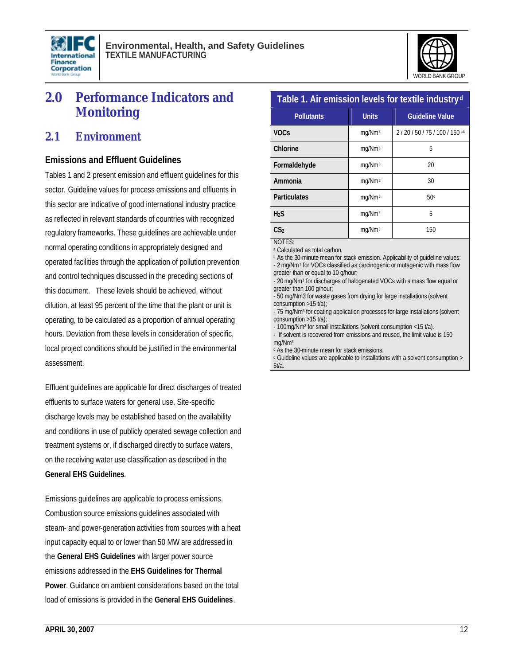



## **2.0 Performance Indicators and Monitoring**

## **2.1 Environment**

## **Emissions and Effluent Guidelines**

Tables 1 and 2 present emission and effluent guidelines for this sector. Guideline values for process emissions and effluents in this sector are indicative of good international industry practice as reflected in relevant standards of countries with recognized regulatory frameworks. These guidelines are achievable under normal operating conditions in appropriately designed and operated facilities through the application of pollution prevention and control techniques discussed in the preceding sections of this document. These levels should be achieved, without dilution, at least 95 percent of the time that the plant or unit is operating, to be calculated as a proportion of annual operating hours. Deviation from these levels in consideration of specific, local project conditions should be justified in the environmental assessment.

Effluent guidelines are applicable for direct discharges of treated effluents to surface waters for general use. Site-specific discharge levels may be established based on the availability and conditions in use of publicly operated sewage collection and treatment systems or, if discharged directly to surface waters, on the receiving water use classification as described in the **General EHS Guidelines**.

Emissions guidelines are applicable to process emissions. Combustion source emissions guidelines associated with steam- and power-generation activities from sources with a heat input capacity equal to or lower than 50 MW are addressed in the **General EHS Guidelines** with larger power source emissions addressed in the **EHS Guidelines for Thermal Power**. Guidance on ambient considerations based on the total load of emissions is provided in the **General EHS Guidelines**.

| Table 1. Air emission levels for textile industry <sup>d</sup> |                    |                        |  |
|----------------------------------------------------------------|--------------------|------------------------|--|
| <b>Pollutants</b>                                              | <b>Units</b>       | <b>Guideline Value</b> |  |
| <b>VOCs</b>                                                    | mg/Nm <sup>3</sup> | 2/20/50/75/100/150ab   |  |
| Chlorine                                                       | mg/Nm <sup>3</sup> | 5                      |  |
| Formaldehyde                                                   | mg/Nm <sup>3</sup> | 20                     |  |
| Ammonia                                                        | mg/Nm <sup>3</sup> | 30                     |  |
| <b>Particulates</b>                                            | mq/Nm <sup>3</sup> | 50 <sup>c</sup>        |  |
| H <sub>2</sub> S                                               | mg/Nm <sup>3</sup> | 5                      |  |
| CS <sub>2</sub>                                                | mg/Nm <sup>3</sup> | 150                    |  |

NOTES:

<sup>a</sup> Calculated as total carbon.

**As the 30-minute mean for stack emission. Applicability of guideline values:** - 2 mg/Nm<sup>3</sup> for VOCs classified as carcinogenic or mutagenic with mass flow greater than or equal to 10 g/hour;

- 20 mg/Nm<sup>3</sup> for discharges of halogenated VOCs with a mass flow equal or greater than 100 g/hour;

- 50 mg/Nm3 for waste gases from drying for large installations (solvent consumption  $>15$  t/a);

- 75 mg/Nm<sup>3</sup> for coating application processes for large installations (solvent consumption >15 t/a);

- 100mg/Nm<sup>3</sup> for small installations (solvent consumption <15 t/a).

- If solvent is recovered from emissions and reused, the limit value is 150 mg/Nm³

<sup>c</sup> As the 30-minute mean for stack emissions.

<sup>d</sup> Guideline values are applicable to installations with a solvent consumption > 5t/a.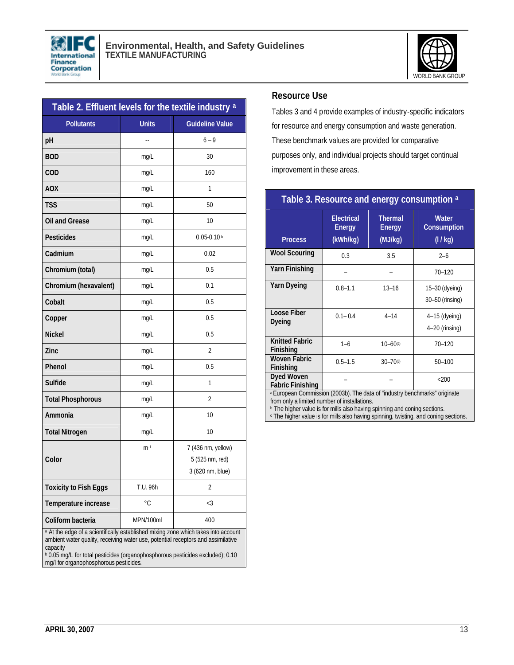



| Table 2. Effluent levels for the textile industry a                                |              |                                                           |  |
|------------------------------------------------------------------------------------|--------------|-----------------------------------------------------------|--|
| <b>Pollutants</b>                                                                  | <b>Units</b> | <b>Guideline Value</b>                                    |  |
| pH                                                                                 |              | $6 - 9$                                                   |  |
| <b>BOD</b>                                                                         | mg/L         | 30                                                        |  |
| COD                                                                                | mq/L         | 160                                                       |  |
| <b>AOX</b>                                                                         | mg/L         | 1                                                         |  |
| <b>TSS</b>                                                                         | mg/L         | 50                                                        |  |
| <b>Oil and Grease</b>                                                              | mg/L         | 10                                                        |  |
| <b>Pesticides</b>                                                                  | mq/L         | $0.05 - 0.10$ <sup>b</sup>                                |  |
| Cadmium                                                                            | mq/L         | 0.02                                                      |  |
| Chromium (total)                                                                   | mg/L         | 0.5                                                       |  |
| Chromium (hexavalent)                                                              | mg/L         | 0.1                                                       |  |
| Cobalt                                                                             | mg/L         | 0.5                                                       |  |
| Copper                                                                             | mg/L         | 0.5                                                       |  |
| <b>Nickel</b>                                                                      | mq/L         | 0.5                                                       |  |
| Zinc                                                                               | mg/L         | $\overline{2}$                                            |  |
| Phenol                                                                             | mg/L         | 0.5                                                       |  |
| <b>Sulfide</b>                                                                     | mg/L         | 1                                                         |  |
| <b>Total Phosphorous</b>                                                           | mg/L         | 2                                                         |  |
| Ammonia                                                                            | mq/L         | 10                                                        |  |
| <b>Total Nitrogen</b>                                                              | mg/L         | 10                                                        |  |
| Color                                                                              | $m-1$        | 7 (436 nm, yellow)<br>5 (525 nm, red)<br>3 (620 nm, blue) |  |
| <b>Toxicity to Fish Eggs</b>                                                       | T.U. 96h     | 2                                                         |  |
| Temperature increase                                                               | $^{\circ}C$  | $<$ 3                                                     |  |
| Coliform bacteria                                                                  | MPN/100ml    | 400                                                       |  |
| a At the edge of a scientifically established miving zone which takes into account |              |                                                           |  |

#### <sup>a</sup> At the edge of a scientifically established mixing zone which takes into account ambient water quality, receiving water use, potential receptors and assimilative capacity

b 0.05 mg/L for total pesticides (organophosphorous pesticides excluded); 0.10 mg/l for organophosphorous pesticides.

## **Resource Use**

Tables 3 and 4 provide examples of industry-specific indicators for resource and energy consumption and waste generation. These benchmark values are provided for comparative purposes only, and individual projects should target continual improvement in these areas.

#### **Table 3. Resource and energy consumption <sup>a</sup> Process Electrical Energy (kWh/kg) Thermal Energy (MJ/kg) Water Consumption (l / kg) Wool Scouring** 0.3 3.5 2–6 **Yarn Finishing** – – – – – 70–120 **Yarn Dyeing** 0.8–11 13–16 15–30 (dyeing)

|                                                                            | $0.8 - 1.1$ | $13 - 16$       | 15–30 (dyeing)<br>30-50 (rinsing)   |  |
|----------------------------------------------------------------------------|-------------|-----------------|-------------------------------------|--|
| Loose Fiber<br><b>Dyeing</b>                                               | $0.1 - 0.4$ | $4 - 14$        | $4-15$ (dyeing)<br>$4-20$ (rinsing) |  |
| <b>Knitted Fabric</b><br><b>Finishing</b>                                  | $1 - 6$     | $10-60^{(2)}$   | 70-120                              |  |
| <b>Woven Fabric</b><br><b>Finishing</b>                                    | $0.5 - 1.5$ | $30 - 70^{(3)}$ | $50 - 100$                          |  |
| <b>Dyed Woven</b><br><b>Fabric Finishing</b>                               |             |                 | <200                                |  |
| a European Commission (2003b). The data of "industry benchmarks" originate |             |                 |                                     |  |

from only a limited number of installations.

**b** The higher value is for mills also having spinning and coning sections.

c The higher value is for mills also having spinning, twisting, and coning sections.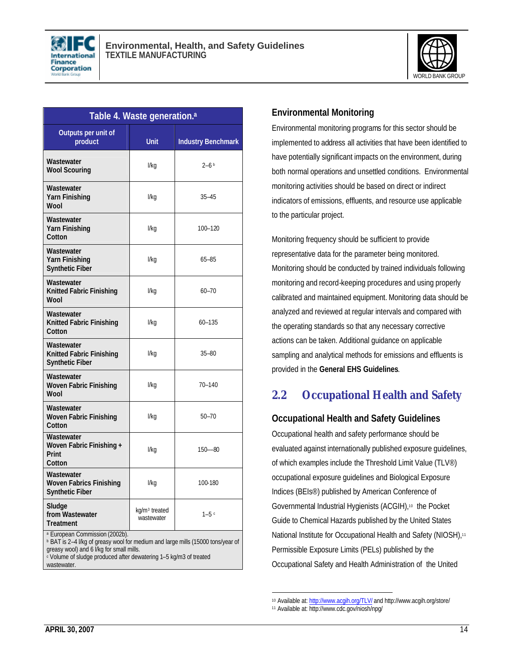



| Table 4. Waste generation. <sup>a</sup>                                                                           |                                         |                           |  |
|-------------------------------------------------------------------------------------------------------------------|-----------------------------------------|---------------------------|--|
| Outputs per unit of<br>product                                                                                    | <b>Unit</b>                             | <b>Industry Benchmark</b> |  |
| Wastewater<br><b>Wool Scouring</b>                                                                                | l/kg                                    | $2 - 6$ b                 |  |
| Wastewater<br>Yarn Finishing<br>Wool                                                                              | l/kg                                    | $35 - 45$                 |  |
| Wastewater<br>Yarn Finishing<br>Cotton                                                                            | l/kg                                    | 100-120                   |  |
| Wastewater<br>Yarn Finishing<br><b>Synthetic Fiber</b>                                                            | l/kg                                    | $65 - 85$                 |  |
| Wastewater<br><b>Knitted Fabric Finishing</b><br>Wool                                                             | l/kg                                    | $60 - 70$                 |  |
| Wastewater<br><b>Knitted Fabric Finishing</b><br>Cotton                                                           | l/kg                                    | 60-135                    |  |
| Wastewater<br><b>Knitted Fabric Finishing</b><br><b>Synthetic Fiber</b>                                           | l/kg                                    | $35 - 80$                 |  |
| Wastewater<br><b>Woven Fabric Finishing</b><br>Wool                                                               | l/kg                                    | 70-140                    |  |
| Wastewater<br><b>Woven Fabric Finishing</b><br>Cotton                                                             | l/kg                                    | $50 - 70$                 |  |
| Wastewater<br>Woven Fabric Finishing +<br>Print<br>Cotton                                                         | l/kg                                    | $150 - 80$                |  |
| Wastewater<br><b>Woven Fabrics Finishing</b><br><b>Synthetic Fiber</b>                                            | l/kg                                    | 100-180                   |  |
| Sludge<br>from Wastewater<br><b>Treatment</b>                                                                     | kg/m <sup>3</sup> treated<br>wastewater | $1-5c$                    |  |
| <sup>a</sup> European Commission (2002b).<br>$0.2$ Alliants<br>col for modium and large mille (15000 topelyear of |                                         |                           |  |

-4 l/kg of greasy wool for medium and large mills (15000 tons/year of greasy wool) and 6 l/kg for small mills.

<sup>c</sup> Volume of sludge produced after dewatering 1–5 kg/m3 of treated wastewater.

## **Environmental Monitoring**

Environmental monitoring programs for this sector should be implemented to address all activities that have been identified to have potentially significant impacts on the environment, during both normal operations and unsettled conditions. Environmental monitoring activities should be based on direct or indirect indicators of emissions, effluents, and resource use applicable to the particular project.

Monitoring frequency should be sufficient to provide representative data for the parameter being monitored. Monitoring should be conducted by trained individuals following monitoring and record-keeping procedures and using properly calibrated and maintained equipment. Monitoring data should be analyzed and reviewed at regular intervals and compared with the operating standards so that any necessary corrective actions can be taken. Additional guidance on applicable sampling and analytical methods for emissions and effluents is provided in the **General EHS Guidelines**.

## **2.2 Occupational Health and Safety**

## **Occupational Health and Safety Guidelines**

Occupational health and safety performance should be evaluated against internationally published exposure guidelines, of which examples include the Threshold Limit Value (TLV®) occupational exposure guidelines and Biological Exposure Indices (BEIs®) published by American Conference of Governmental Industrial Hygienists (ACGIH),<sup>10</sup> the Pocket Guide to Chemical Hazards published by the United States National Institute for Occupational Health and Safety (NIOSH),<sup>11</sup> Permissible Exposure Limits (PELs) published by the Occupational Safety and Health Administration of the United

 $\overline{a}$ 10 Available at: http://www.acqih.org/TLV/ and http://www.acgih.org/store/

<sup>11</sup> Available at: http://www.cdc.gov/niosh/npg/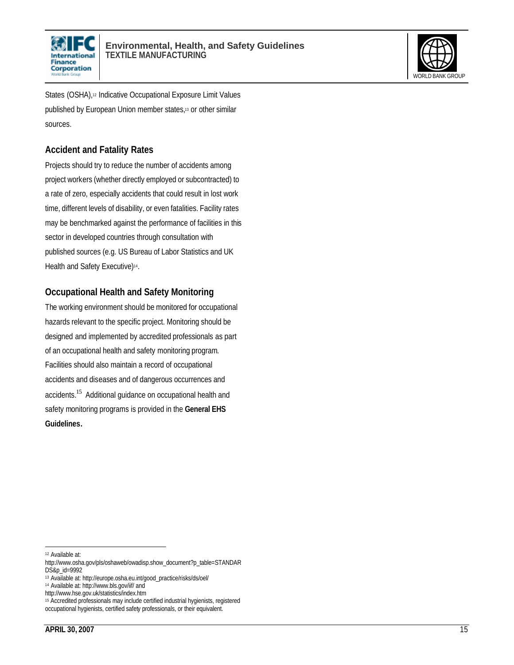



States (OSHA),<sup>12</sup> Indicative Occupational Exposure Limit Values published by European Union member states,<sup>13</sup> or other similar sources.

## **Accident and Fatality Rates**

Projects should try to reduce the number of accidents among project workers (whether directly employed or subcontracted) to a rate of zero, especially accidents that could result in lost work time, different levels of disability, or even fatalities. Facility rates may be benchmarked against the performance of facilities in this sector in developed countries through consultation with published sources (e.g. US Bureau of Labor Statistics and UK Health and Safety Executive)<sup>14</sup>.

## **Occupational Health and Safety Monitoring**

The working environment should be monitored for occupational hazards relevant to the specific project. Monitoring should be designed and implemented by accredited professionals as part of an occupational health and safety monitoring program. Facilities should also maintain a record of occupational accidents and diseases and of dangerous occurrences and accidents.15 Additional guidance on occupational health and safety monitoring programs is provided in the **General EHS Guidelines.**

<sup>12</sup> Available at:

http://www.osha.gov/pls/oshaweb/owadisp.show\_document?p\_table=STANDAR DS&p\_id=9992

<sup>13</sup> Available at: http://europe.osha.eu.int/good\_practice/risks/ds/oel/

<sup>14</sup> Available at: http://www.bls.gov/iif/ and

http://www.hse.gov.uk/statistics/index.htm

<sup>15</sup> Accredited professionals may include certified industrial hygienists, registered

occupational hygienists, certified safety professionals, or their equivalent.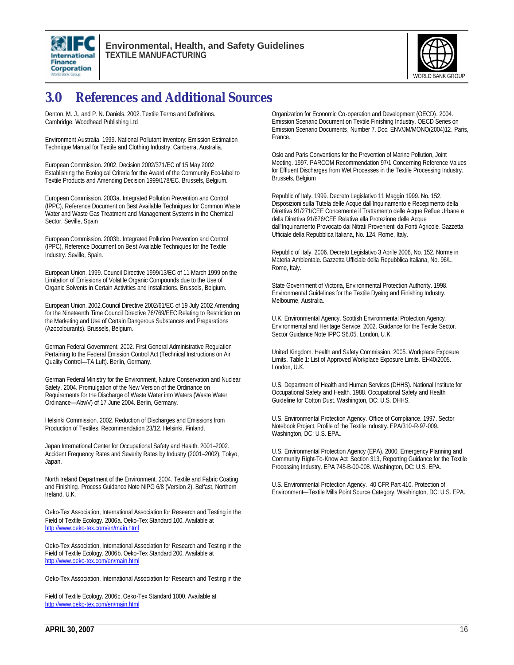



## **3.0 References and Additional Sources**

Denton, M. J., and P. N. Daniels. 2002. Textile Terms and Definitions. Cambridge: Woodhead Publishing Ltd.

Environment Australia. 1999. National Pollutant Inventory: Emission Estimation Technique Manual for Textile and Clothing Industry. Canberra, Australia.

European Commission. 2002. Decision 2002/371/EC of 15 May 2002 Establishing the Ecological Criteria for the Award of the Community Eco-label to Textile Products and Amending Decision 1999/178/EC. Brussels, Belgium.

European Commission. 2003a. Integrated Pollution Prevention and Control (IPPC), Reference Document on Best Available Techniques for Common Waste Water and Waste Gas Treatment and Management Systems in the Chemical Sector. Seville, Spain

European Commission. 2003b. Integrated Pollution Prevention and Control (IPPC), Reference Document on Best Available Techniques for the Textile Industry. Seville, Spain.

European Union. 1999. Council Directive 1999/13/EC of 11 March 1999 on the Limitation of Emissions of Volatile Organic Compounds due to the Use of Organic Solvents in Certain Activities and Installations. Brussels, Belgium.

European Union. 2002.Council Directive 2002/61/EC of 19 July 2002 Amending for the Nineteenth Time Council Directive 76/769/EEC Relating to Restriction on the Marketing and Use of Certain Dangerous Substances and Preparations (Azocolourants). Brussels, Belgium.

German Federal Government. 2002. First General Administrative Regulation Pertaining to the Federal Emission Control Act (Technical Instructions on Air Quality Control—TA Luft). Berlin, Germany.

German Federal Ministry for the Environment, Nature Conservation and Nuclear Safety. 2004. Promulgation of the New Version of the Ordinance on Requirements for the Discharge of Waste Water into Waters (Waste Water Ordinance—AbwV) of 17 June 2004. Berlin, Germany.

Helsinki Commission. 2002. Reduction of Discharges and Emissions from Production of Textiles. Recommendation 23/12. Helsinki, Finland.

Japan International Center for Occupational Safety and Health. 2001–2002. Accident Frequency Rates and Severity Rates by Industry (2001–2002). Tokyo, Japan.

North Ireland Department of the Environment. 2004. Textile and Fabric Coating and Finishing. Process Guidance Note NIPG 6/8 (Version 2). Belfast, Northern Ireland, U.K.

Oeko-Tex Association, International Association for Research and Testing in the Field of Textile Ecology. 2006a. Oeko-Tex Standard 100. Available at http://www.oeko-tex.com/en/main.html

Oeko-Tex Association, International Association for Research and Testing in the Field of Textile Ecology. 2006b. Oeko-Tex Standard 200. Available at http://www.oeko-tex.com/en/main.html

Oeko-Tex Association, International Association for Research and Testing in the

Field of Textile Ecology. 2006c. Oeko-Tex Standard 1000. Available at http://www.oeko-tex.com/en/main.html

Organization for Economic Co-operation and Development (OECD). 2004. Emission Scenario Document on Textile Finishing Industry. OECD Series on Emission Scenario Documents, Number 7. Doc. ENV/JM/MONO(2004)12. Paris, France.

Oslo and Paris Conventions for the Prevention of Marine Pollution, Joint Meeting. 1997. PARCOM Recommendation 97/1 Concerning Reference Values for Effluent Discharges from Wet Processes in the Textile Processing Industry. Brussels, Belgium

Republic of Italy. 1999. Decreto Legislativo 11 Maggio 1999. No. 152. Disposizioni sulla Tutela delle Acque dall'Inquinamento e Recepimento della Direttiva 91/271/CEE Concernente il Trattamento delle Acque Reflue Urbane e della Direttiva 91/676/CEE Relativa alla Protezione delle Acque dall'Inquinamento Provocato dai Nitrati Provenienti da Fonti Agricole. Gazzetta Ufficiale della Repubblica Italiana, No. 124. Rome, Italy.

Republic of Italy. 2006. Decreto Legislativo 3 Aprile 2006, No. 152. Norme in Materia Ambientale. Gazzetta Ufficiale della Repubblica Italiana, No. 96/L. Rome, Italy.

State Government of Victoria, Environmental Protection Authority. 1998. Environmental Guidelines for the Textile Dyeing and Finishing Industry. Melbourne, Australia.

U.K. Environmental Agency. Scottish Environmental Protection Agency. Environmental and Heritage Service. 2002. Guidance for the Textile Sector. Sector Guidance Note IPPC S6.05. London, U.K.

United Kingdom. Health and Safety Commission. 2005. Workplace Exposure Limits. Table 1: List of Approved Workplace Exposure Limits. EH40/2005. London, U.K.

U.S. Department of Health and Human Services (DHHS). National Institute for Occupational Safety and Health. 1988. Occupational Safety and Health Guideline for Cotton Dust. Washington, DC: U.S. DHHS.

U.S. Environmental Protection Agency. Office of Compliance. 1997. Sector Notebook Project. Profile of the Textile Industry. EPA/310-R-97-009. Washington, DC: U.S. EPA..

U.S. Environmental Protection Agency (EPA). 2000. Emergency Planning and Community Right-To-Know Act. Section 313, Reporting Guidance for the Textile Processing Industry. EPA 745-B-00-008. Washington, DC: U.S. EPA.

U.S. Environmental Protection Agency. 40 CFR Part 410. Protection of Environment—Textile Mills Point Source Category. Washington, DC: U.S. EPA.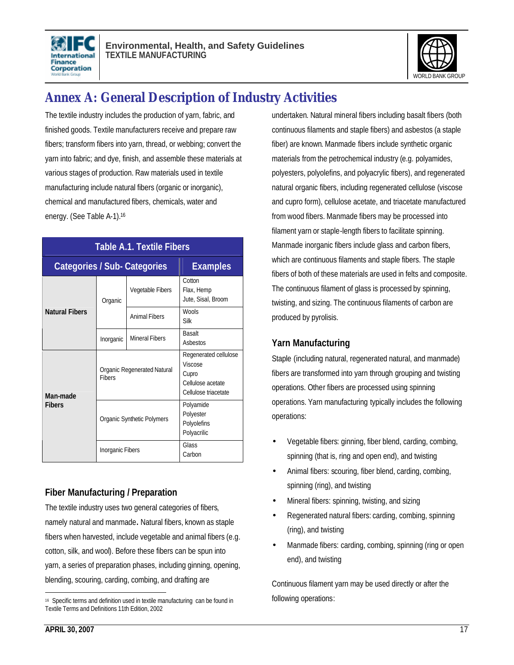



## **Annex A: General Description of Industry Activities**

The textile industry includes the production of yarn, fabric, and finished goods. Textile manufacturers receive and prepare raw fibers; transform fibers into yarn, thread, or webbing; convert the yarn into fabric; and dye, finish, and assemble these materials at various stages of production. Raw materials used in textile manufacturing include natural fibers (organic or inorganic), chemical and manufactured fibers, chemicals, water and energy. (See Table A-1).<sup>16</sup>

| Table A.1. Textile Fibers           |                                              |                       |                                                                                        |  |  |
|-------------------------------------|----------------------------------------------|-----------------------|----------------------------------------------------------------------------------------|--|--|
| <b>Categories / Sub- Categories</b> | <b>Examples</b>                              |                       |                                                                                        |  |  |
| <b>Natural Fibers</b>               | Organic                                      | Vegetable Fibers      | Cotton<br>Flax, Hemp<br>Jute, Sisal, Broom                                             |  |  |
|                                     |                                              | <b>Animal Fibers</b>  | <b>Wools</b><br>Silk                                                                   |  |  |
|                                     | Inorganic                                    | <b>Mineral Fibers</b> | <b>Basalt</b><br>Asbestos                                                              |  |  |
| Man-made<br><b>Fibers</b>           | Organic Regenerated Natural<br><b>Fibers</b> |                       | Regenerated cellulose<br>Viscose<br>Cupro<br>Cellulose acetate<br>Cellulose triacetate |  |  |
|                                     | Organic Synthetic Polymers                   |                       | Polyamide<br>Polyester<br>Polyolefins<br>Polyacrilic                                   |  |  |
|                                     | Inorganic Fibers                             |                       | Glass<br>Carbon                                                                        |  |  |

## **Fiber Manufacturing / Preparation**

The textile industry uses two general categories of fibers, namely natural and manmade**.** Natural fibers, known as staple fibers when harvested, include vegetable and animal fibers (e.g. cotton, silk, and wool). Before these fibers can be spun into yarn, a series of preparation phases, including ginning, opening, blending, scouring, carding, combing, and drafting are

undertaken. Natural mineral fibers including basalt fibers (both continuous filaments and staple fibers) and asbestos (a staple fiber) are known. Manmade fibers include synthetic organic materials from the petrochemical industry (e.g. polyamides, polyesters, polyolefins, and polyacrylic fibers), and regenerated natural organic fibers, including regenerated cellulose (viscose and cupro form), cellulose acetate, and triacetate manufactured from wood fibers. Manmade fibers may be processed into filament yarn or staple-length fibers to facilitate spinning. Manmade inorganic fibers include glass and carbon fibers, which are continuous filaments and staple fibers. The staple fibers of both of these materials are used in felts and composite. The continuous filament of glass is processed by spinning, twisting, and sizing. The continuous filaments of carbon are produced by pyrolisis.

## **Yarn Manufacturing**

Staple (including natural, regenerated natural, and manmade) fibers are transformed into yarn through grouping and twisting operations. Other fibers are processed using spinning operations. Yarn manufacturing typically includes the following operations:

- Vegetable fibers: ginning, fiber blend, carding, combing, spinning (that is, ring and open end), and twisting
- Animal fibers: scouring, fiber blend, carding, combing, spinning (ring), and twisting
- Mineral fibers: spinning, twisting, and sizing
- Regenerated natural fibers: carding, combing, spinning (ring), and twisting
- Manmade fibers: carding, combing, spinning (ring or open end), and twisting

Continuous filament yarn may be used directly or after the following operations:

 $\overline{a}$ <sup>16</sup> Specific terms and definition used in textile manufacturing can be found in Textile Terms and Definitions 11th Edition, 2002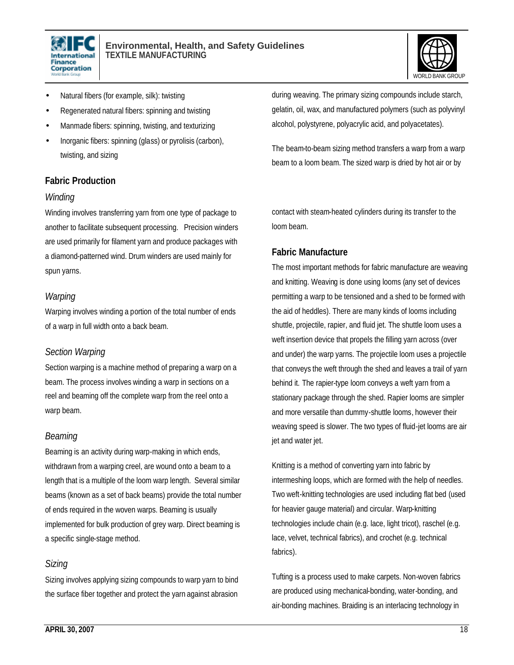



- Natural fibers (for example, silk): twisting
- Regenerated natural fibers: spinning and twisting
- Manmade fibers: spinning, twisting, and texturizing
- Inorganic fibers: spinning (glass) or pyrolisis (carbon), twisting, and sizing

## **Fabric Production**

## *Winding*

Winding involves transferring yarn from one type of package to another to facilitate subsequent processing. Precision winders are used primarily for filament yarn and produce packages with a diamond-patterned wind. Drum winders are used mainly for spun yarns.

## *Warping*

Warping involves winding a portion of the total number of ends of a warp in full width onto a back beam.

## *Section Warping*

Section warping is a machine method of preparing a warp on a beam. The process involves winding a warp in sections on a reel and beaming off the complete warp from the reel onto a warp beam.

## *Beaming*

Beaming is an activity during warp-making in which ends, withdrawn from a warping creel, are wound onto a beam to a length that is a multiple of the loom warp length. Several similar beams (known as a set of back beams) provide the total number of ends required in the woven warps. Beaming is usually implemented for bulk production of grey warp. Direct beaming is a specific single-stage method.

## *Sizing*

Sizing involves applying sizing compounds to warp yarn to bind the surface fiber together and protect the yarn against abrasion

during weaving. The primary sizing compounds include starch, gelatin, oil, wax, and manufactured polymers (such as polyvinyl alcohol, polystyrene, polyacrylic acid, and polyacetates).

The beam-to-beam sizing method transfers a warp from a warp beam to a loom beam. The sized warp is dried by hot air or by

contact with steam-heated cylinders during its transfer to the loom beam.

## **Fabric Manufacture**

The most important methods for fabric manufacture are weaving and knitting. Weaving is done using looms (any set of devices permitting a warp to be tensioned and a shed to be formed with the aid of heddles). There are many kinds of looms including shuttle, projectile, rapier, and fluid jet. The shuttle loom uses a weft insertion device that propels the filling yarn across (over and under) the warp yarns. The projectile loom uses a projectile that conveys the weft through the shed and leaves a trail of yarn behind it. The rapier-type loom conveys a weft yarn from a stationary package through the shed. Rapier looms are simpler and more versatile than dummy-shuttle looms, however their weaving speed is slower. The two types of fluid-jet looms are air jet and water jet.

Knitting is a method of converting yarn into fabric by intermeshing loops, which are formed with the help of needles. Two weft-knitting technologies are used including flat bed (used for heavier gauge material) and circular. Warp-knitting technologies include chain (e.g. lace, light tricot), raschel (e.g. lace, velvet, technical fabrics), and crochet (e.g. technical fabrics).

Tufting is a process used to make carpets. Non-woven fabrics are produced using mechanical-bonding, water-bonding, and air-bonding machines. Braiding is an interlacing technology in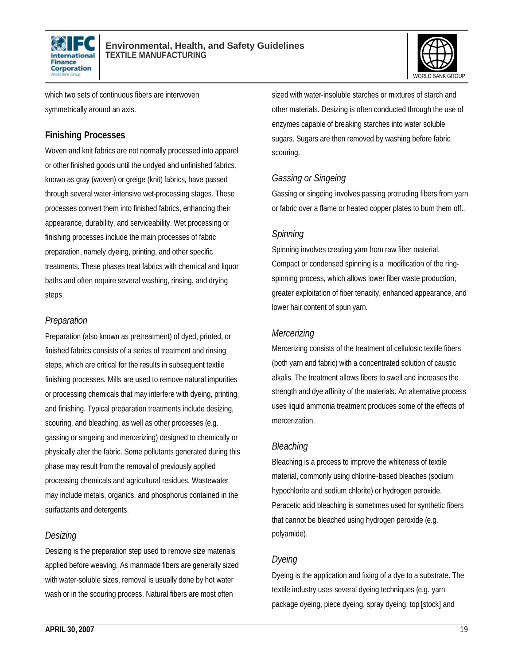



which two sets of continuous fibers are interwoven symmetrically around an axis.

## **Finishing Processes**

Woven and knit fabrics are not normally processed into apparel or other finished goods until the undyed and unfinished fabrics, known as gray (woven) or greige (knit) fabrics, have passed through several water-intensive wet-processing stages. These processes convert them into finished fabrics, enhancing their appearance, durability, and serviceability. Wet processing or finishing processes include the main processes of fabric preparation, namely dyeing, printing, and other specific treatments. These phases treat fabrics with chemical and liquor baths and often require several washing, rinsing, and drying steps.

## *Preparation*

Preparation (also known as pretreatment) of dyed, printed, or finished fabrics consists of a series of treatment and rinsing steps, which are critical for the results in subsequent textile finishing processes. Mills are used to remove natural impurities or processing chemicals that may interfere with dyeing, printing, and finishing. Typical preparation treatments include desizing, scouring, and bleaching, as well as other processes (e.g. gassing or singeing and mercerizing) designed to chemically or physically alter the fabric. Some pollutants generated during this phase may result from the removal of previously applied processing chemicals and agricultural residues. Wastewater may include metals, organics, and phosphorus contained in the surfactants and detergents.

## *Desizing*

Desizing is the preparation step used to remove size materials applied before weaving. As manmade fibers are generally sized with water-soluble sizes, removal is usually done by hot water wash or in the scouring process. Natural fibers are most often

sized with water-insoluble starches or mixtures of starch and other materials. Desizing is often conducted through the use of enzymes capable of breaking starches into water soluble sugars. Sugars are then removed by washing before fabric scouring.

## *Gassing or Singeing*

Gassing or singeing involves passing protruding fibers from yarn or fabric over a flame or heated copper plates to burn them off..

## *Spinning*

Spinning involves creating yarn from raw fiber material. Compact or condensed spinning is a modification of the ringspinning process, which allows lower fiber waste production, greater exploitation of fiber tenacity, enhanced appearance, and lower hair content of spun yarn.

## *Mercerizing*

Mercerizing consists of the treatment of cellulosic textile fibers (both yarn and fabric) with a concentrated solution of caustic alkalis. The treatment allows fibers to swell and increases the strength and dye affinity of the materials. An alternative process uses liquid ammonia treatment produces some of the effects of mercerization.

## *Bleaching*

Bleaching is a process to improve the whiteness of textile material, commonly using chlorine-based bleaches (sodium hypochlorite and sodium chlorite) or hydrogen peroxide. Peracetic acid bleaching is sometimes used for synthetic fibers that cannot be bleached using hydrogen peroxide (e.g. polyamide).

## *Dyeing*

Dyeing is the application and fixing of a dye to a substrate. The textile industry uses several dyeing techniques (e.g. yarn package dyeing, piece dyeing, spray dyeing, top [stock] and